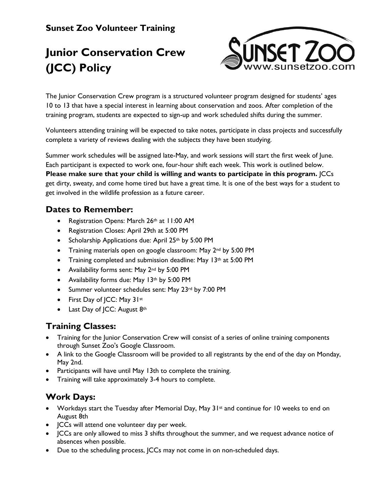# **Sunset Zoo Volunteer Training**

# **Junior Conservation Crew (JCC) Policy**



The Junior Conservation Crew program is a structured volunteer program designed for students' ages 10 to 13 that have a special interest in learning about conservation and zoos. After completion of the training program, students are expected to sign-up and work scheduled shifts during the summer.

Volunteers attending training will be expected to take notes, participate in class projects and successfully complete a variety of reviews dealing with the subjects they have been studying.

Summer work schedules will be assigned late-May, and work sessions will start the first week of June. Each participant is expected to work one, four-hour shift each week. This work is outlined below. **Please make sure that your child is willing and wants to participate in this program.** JCCs get dirty, sweaty, and come home tired but have a great time. It is one of the best ways for a student to get involved in the wildlife profession as a future career.

#### **Dates to Remember:**

- Registration Opens: March 26th at 11:00 AM
- Registration Closes: April 29th at 5:00 PM
- Scholarship Applications due: April 25th by 5:00 PM
- Training materials open on google classroom: May 2<sup>nd</sup> by 5:00 PM
- Training completed and submission deadline: May 13<sup>th</sup> at 5:00 PM
- Availability forms sent: May 2nd by 5:00 PM
- Availability forms due: May 13th by 5:00 PM
- Summer volunteer schedules sent: May 23rd by 7:00 PM
- First Day of JCC: May 31st
- Last Day of JCC: August 8th

#### **Training Classes:**

- Training for the Junior Conservation Crew will consist of a series of online training components through Sunset Zoo's Google Classroom.
- A link to the Google Classroom will be provided to all registrants by the end of the day on Monday, May 2nd.
- Participants will have until May 13th to complete the training.
- Training will take approximately 3-4 hours to complete.

# **Work Days:**

- Workdays start the Tuesday after Memorial Day, May 31st and continue for 10 weeks to end on August 8th
- JCCs will attend one volunteer day per week.
- JCCs are only allowed to miss 3 shifts throughout the summer, and we request advance notice of absences when possible.
- Due to the scheduling process, JCCs may not come in on non-scheduled days.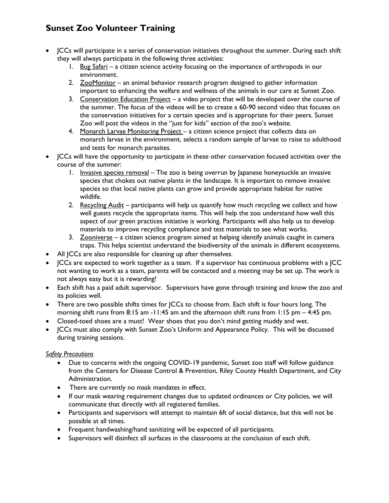# **Sunset Zoo Volunteer Training**

- JCCs will participate in a series of conservation initiatives throughout the summer. During each shift they will always participate in the following three activities:
	- 1. Bug Safari a citizen science activity focusing on the importance of arthropods in our environment.
	- 2. ZooMonitor an animal behavior research program designed to gather information important to enhancing the welfare and wellness of the animals in our care at Sunset Zoo.
	- 3. Conservation Education Project a video project that will be developed over the course of the summer. The focus of the videos will be to create a 60-90 second video that focuses on the conservation initiatives for a certain species and is appropriate for their peers. Sunset Zoo will post the videos in the "just for kids" section of the zoo's website.
	- 4. Monarch Larvae Monitoring Project a citizen science project that collects data on monarch larvae in the environment, selects a random sample of larvae to raise to adulthood and tests for monarch parasites.
- JCCs will have the opportunity to participate in these other conservation focused activities over the course of the summer:
	- 1. Invasive species removal The zoo is being overrun by Japanese honeysuckle an invasive species that chokes out native plants in the landscape. It is important to remove invasive species so that local native plants can grow and provide appropriate habitat for native wildlife.
	- 2. Recycling  $\Delta u \, du \,$  participants will help us quantify how much recycling we collect and how well guests recycle the appropriate items. This will help the zoo understand how well this aspect of our green practices initiative is working. Participants will also help us to develop materials to improve recycling compliance and test materials to see what works.
	- 3. Zooniverse a citizen science program aimed at helping identify animals caught in camera traps. This helps scientist understand the biodiversity of the animals in different ecosystems.
- All JCCs are also responsible for cleaning up after themselves.
- JCCs are expected to work together as a team. If a supervisor has continuous problems with a JCC not wanting to work as a team, parents will be contacted and a meeting may be set up. The work is not always easy but it is rewarding!
- Each shift has a paid adult supervisor. Supervisors have gone through training and know the zoo and its policies well.
- There are two possible shifts times for JCCs to choose from. Each shift is four hours long. The morning shift runs from 8:15 am -11:45 am and the afternoon shift runs from 1:15 pm – 4:45 pm.
- Closed-toed shoes are a must! Wear shoes that you don't mind getting muddy and wet.
- JCCs must also comply with Sunset Zoo's Uniform and Appearance Policy. This will be discussed during training sessions.

#### *Safety Precautions*

- Due to concerns with the ongoing COVID-19 pandemic, Sunset zoo staff will follow guidance from the Centers for Disease Control & Prevention, Riley County Health Department, and City Administration.
- There are currently no mask mandates in effect.
- If our mask wearing requirement changes due to updated ordinances or City policies, we will communicate that directly with all registered families.
- Participants and supervisors will attempt to maintain 6ft of social distance, but this will not be possible at all times.
- Frequent handwashing/hand sanitizing will be expected of all participants.
- Supervisors will disinfect all surfaces in the classrooms at the conclusion of each shift.